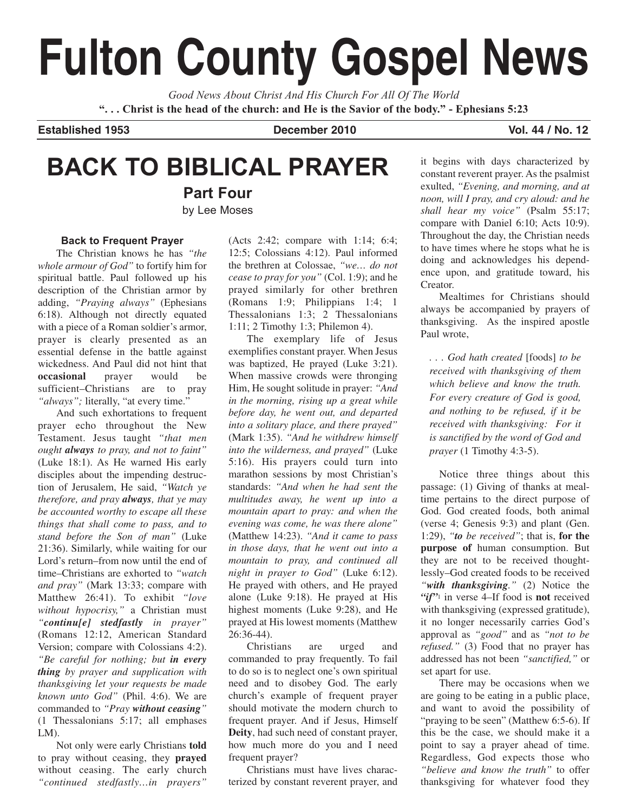# **Fulton County Gospel News**

*Good News About Christ And His Church For All Of The World* **". . . Christ is the head of the church: and He is the Savior of the body." - Ephesians 5:23**

**Established 1953 December 2010 Vol. 44 / No. 12**

## **BACK TO BIBLICAL PRAYER**

**Part Four** by Lee Moses

#### **Back to Frequent Prayer**

The Christian knows he has *"the whole armour of God"* to fortify him for spiritual battle. Paul followed up his description of the Christian armor by adding, *"Praying always"* (Ephesians 6:18). Although not directly equated with a piece of a Roman soldier's armor, prayer is clearly presented as an essential defense in the battle against wickedness. And Paul did not hint that **occasional** prayer would be sufficient–Christians are to pray *"always";* literally, "at every time."

And such exhortations to frequent prayer echo throughout the New Testament. Jesus taught *"that men ought always to pray, and not to faint"* (Luke 18:1). As He warned His early disciples about the impending destruction of Jerusalem, He said, *"Watch ye therefore, and pray always, that ye may be accounted worthy to escape all these things that shall come to pass, and to stand before the Son of man"* (Luke 21:36). Similarly, while waiting for our Lord's return–from now until the end of time–Christians are exhorted to *"watch and pray"* (Mark 13:33; compare with Matthew 26:41). To exhibit *"love without hypocrisy,"* a Christian must *"continu[e] stedfastly in prayer"* (Romans 12:12, American Standard Version; compare with Colossians 4:2). *"Be careful for nothing; but in every thing by prayer and supplication with thanksgiving let your requests be made known unto God"* (Phil. 4:6). We are commanded to *"Pray without ceasing"* (1 Thessalonians 5:17; all emphases LM).

Not only were early Christians **told** to pray without ceasing, they **prayed** without ceasing. The early church *"continued stedfastly…in prayers"*

(Acts 2:42; compare with 1:14; 6:4; 12:5; Colossians 4:12). Paul informed the brethren at Colossae, *"we… do not cease to pray for you"* (Col. 1:9); and he prayed similarly for other brethren (Romans 1:9; Philippians 1:4; 1 Thessalonians 1:3; 2 Thessalonians 1:11; 2 Timothy 1:3; Philemon 4).

The exemplary life of Jesus exemplifies constant prayer. When Jesus was baptized, He prayed (Luke 3:21). When massive crowds were thronging Him, He sought solitude in prayer: *"And in the morning, rising up a great while before day, he went out, and departed into a solitary place, and there prayed"* (Mark 1:35). *"And he withdrew himself into the wilderness, and prayed"* (Luke 5:16). His prayers could turn into marathon sessions by most Christian's standards: *"And when he had sent the multitudes away, he went up into a mountain apart to pray: and when the evening was come, he was there alone"* (Matthew 14:23). *"And it came to pass in those days, that he went out into a mountain to pray, and continued all night in prayer to God"* (Luke 6:12). He prayed with others, and He prayed alone (Luke 9:18). He prayed at His highest moments (Luke 9:28), and He prayed at His lowest moments (Matthew 26:36-44).

Christians are urged and commanded to pray frequently. To fail to do so is to neglect one's own spiritual need and to disobey God. The early church's example of frequent prayer should motivate the modern church to frequent prayer. And if Jesus, Himself **Deity**, had such need of constant prayer, how much more do you and I need frequent prayer?

Christians must have lives characterized by constant reverent prayer, and it begins with days characterized by constant reverent prayer. As the psalmist exulted, *"Evening, and morning, and at noon, will I pray, and cry aloud: and he shall hear my voice"* (Psalm 55:17; compare with Daniel 6:10; Acts 10:9). Throughout the day, the Christian needs to have times where he stops what he is doing and acknowledges his dependence upon, and gratitude toward, his Creator.

Mealtimes for Christians should always be accompanied by prayers of thanksgiving. As the inspired apostle Paul wrote,

*. . . God hath created* [foods] *to be received with thanksgiving of them which believe and know the truth. For every creature of God is good, and nothing to be refused, if it be received with thanksgiving: For it is sanctified by the word of God and prayer* (1 Timothy 4:3-5).

Notice three things about this passage: (1) Giving of thanks at mealtime pertains to the direct purpose of God. God created foods, both animal (verse 4; Genesis 9:3) and plant (Gen. 1:29), *"to be received"*; that is, **for the purpose of** human consumption. But they are not to be received thoughtlessly–God created foods to be received *"with thanksgiving."* (2) Notice the *"if"*<sup>1</sup> in verse 4–If food is **not** received with thanksgiving (expressed gratitude), it no longer necessarily carries God's approval as *"good"* and as *"not to be refused."* (3) Food that no prayer has addressed has not been *"sanctified,"* or set apart for use.

There may be occasions when we are going to be eating in a public place, and want to avoid the possibility of "praying to be seen" (Matthew 6:5-6). If this be the case, we should make it a point to say a prayer ahead of time. Regardless, God expects those who *"believe and know the truth"* to offer thanksgiving for whatever food they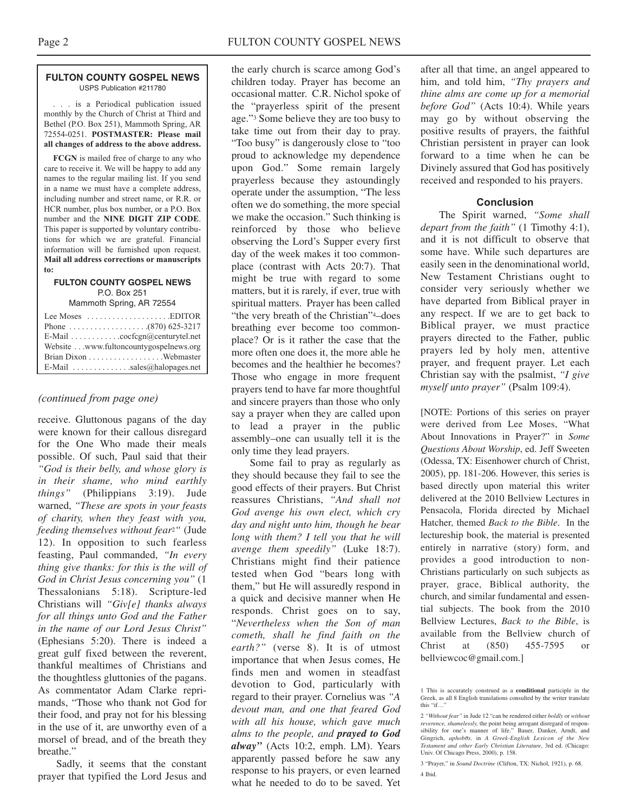#### **FULTON COUNTY GOSPEL NEWS** USPS Publication #211780

. . . is a Periodical publication issued monthly by the Church of Christ at Third and Bethel (P.O. Box 251), Mammoth Spring, AR 72554-0251. **POSTMASTER: Please mail all changes of address to the above address.**

**FCGN** is mailed free of charge to any who care to receive it. We will be happy to add any names to the regular mailing list. If you send in a name we must have a complete address, including number and street name, or R.R. or HCR number, plus box number, or a P.O. Box number and the **NINE DIGIT ZIP CODE**. This paper is supported by voluntary contributions for which we are grateful. Financial information will be furnished upon request. **Mail all address corrections or manuscripts to:**

#### **FULTON COUNTY GOSPEL NEWS** P.O. Box 251

Mammoth Spring, AR 72554

| Lee Moses $\dots \dots \dots \dots \dots$ . EDITOR          |  |
|-------------------------------------------------------------|--|
|                                                             |  |
| E-Mail $\ldots \ldots \ldots \ldots$ cocfcgn@centurytel.net |  |
| Website www.fultoncountygospelnews.org                      |  |
|                                                             |  |
| E-Mail $\dots \dots \dots \dots$ sales (a) halo pages net   |  |

## *(continued from page one)*

receive. Gluttonous pagans of the day were known for their callous disregard for the One Who made their meals possible. Of such, Paul said that their *"God is their belly, and whose glory is in their shame, who mind earthly things"* (Philippians 3:19). Jude warned, *"These are spots in your feasts of charity, when they feast with you, feeding themselves without fear*2*"* (Jude 12). In opposition to such fearless feasting, Paul commanded, *"In every thing give thanks: for this is the will of God in Christ Jesus concerning you"* (1 Thessalonians 5:18). Scripture-led Christians will *"Giv[e] thanks always for all things unto God and the Father in the name of our Lord Jesus Christ"* (Ephesians 5:20). There is indeed a great gulf fixed between the reverent, thankful mealtimes of Christians and the thoughtless gluttonies of the pagans. As commentator Adam Clarke reprimands, "Those who thank not God for their food, and pray not for his blessing in the use of it, are unworthy even of a morsel of bread, and of the breath they breathe."

Sadly, it seems that the constant prayer that typified the Lord Jesus and

the early church is scarce among God's children today. Prayer has become an occasional matter. C.R. Nichol spoke of the "prayerless spirit of the present age."3 Some believe they are too busy to take time out from their day to pray. "Too busy" is dangerously close to "too proud to acknowledge my dependence upon God." Some remain largely prayerless because they astoundingly operate under the assumption, "The less often we do something, the more special we make the occasion." Such thinking is reinforced by those who believe observing the Lord's Supper every first day of the week makes it too commonplace (contrast with Acts 20:7). That might be true with regard to some matters, but it is rarely, if ever, true with spiritual matters. Prayer has been called "the very breath of the Christian"4–does breathing ever become too commonplace? Or is it rather the case that the more often one does it, the more able he becomes and the healthier he becomes? Those who engage in more frequent prayers tend to have far more thoughtful and sincere prayers than those who only say a prayer when they are called upon to lead a prayer in the public assembly–one can usually tell it is the only time they lead prayers.

Some fail to pray as regularly as they should because they fail to see the good effects of their prayers. But Christ reassures Christians, *"And shall not God avenge his own elect, which cry day and night unto him, though he bear long with them? I tell you that he will avenge them speedily"* (Luke 18:7). Christians might find their patience tested when God "bears long with them," but He will assuredly respond in a quick and decisive manner when He responds. Christ goes on to say, "*Nevertheless when the Son of man cometh, shall he find faith on the earth?"* (verse 8). It is of utmost importance that when Jesus comes, He finds men and women in steadfast devotion to God, particularly with regard to their prayer. Cornelius was *"A devout man, and one that feared God with all his house, which gave much alms to the people, and prayed to God alway"* (Acts 10:2, emph. LM). Years apparently passed before he saw any response to his prayers, or even learned what he needed to do to be saved. Yet

after all that time, an angel appeared to him, and told him, *"Thy prayers and thine alms are come up for a memorial before God"* (Acts 10:4). While years may go by without observing the positive results of prayers, the faithful Christian persistent in prayer can look forward to a time when he can be Divinely assured that God has positively received and responded to his prayers.

## **Conclusion**

The Spirit warned, *"Some shall depart from the faith"* (1 Timothy 4:1), and it is not difficult to observe that some have. While such departures are easily seen in the denominational world, New Testament Christians ought to consider very seriously whether we have departed from Biblical prayer in any respect. If we are to get back to Biblical prayer, we must practice prayers directed to the Father, public prayers led by holy men, attentive prayer, and frequent prayer. Let each Christian say with the psalmist, *"I give myself unto prayer"* (Psalm 109:4).

[NOTE: Portions of this series on prayer were derived from Lee Moses, "What About Innovations in Prayer?" in *Some Questions About Worship*, ed. Jeff Sweeten (Odessa, TX: Eisenhower church of Christ, 2005), pp. 181-206. However, this series is based directly upon material this writer delivered at the 2010 Bellview Lectures in Pensacola, Florida directed by Michael Hatcher, themed *Back to the Bible*. In the lectureship book, the material is presented entirely in narrative (story) form, and provides a good introduction to non-Christians particularly on such subjects as prayer, grace, Biblical authority, the church, and similar fundamental and essential subjects. The book from the 2010 Bellview Lectures, *Back to the Bible*, is available from the Bellview church of Christ at (850) 455-7595 or bellviewcoc@gmail.com.]

3 "Prayer," in *Sound Doctrine* (Clifton, TX: Nichol, 1921), p. 68. 4 Ibid.

<sup>1</sup> This is accurately construed as a **conditional** participle in the Greek, as all 8 English translations consulted by the writer translate this "if<sup>…"</sup>

<sup>2</sup> *"Without fear"* in Jude 12 "can be rendered either *boldly* or *without reverence, shamelessly,* the point being arrogant disregard of responsibility for one's manner of life." Bauer, Danker, Arndt, and Gingrich, *aphobos,* in *A Greek-English Lexicon of the New Testament and other Early Christian Literature*, 3rd ed. (Chicago: Univ. Of Chicago Press, 2000), p. 158.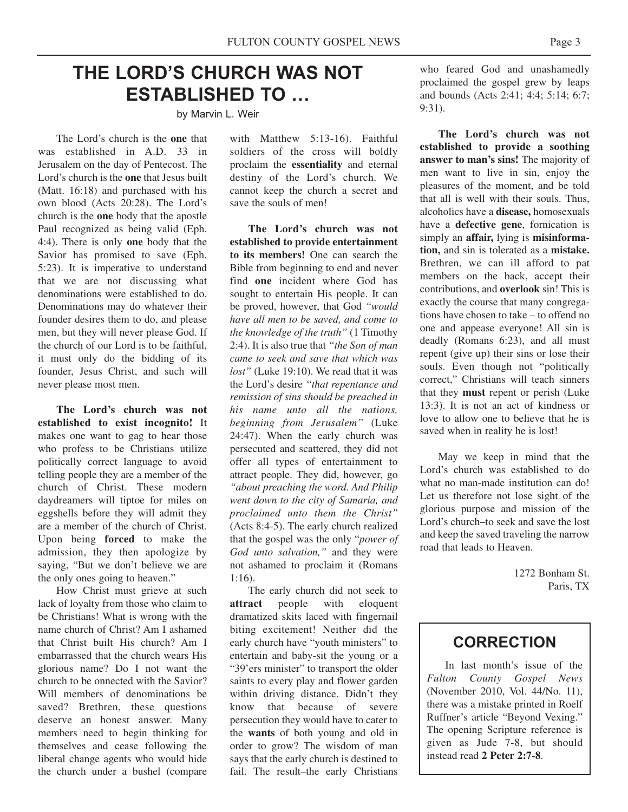## **THE LORD'S CHURCH WAS NOT ESTABLISHED TO …**

by Marvin L. Weir

The Lord's church is the **one** that was established in A.D. 33 in Jerusalem on the day of Pentecost. The Lord's church is the **one** that Jesus built (Matt. 16:18) and purchased with his own blood (Acts 20:28). The Lord's church is the **one** body that the apostle Paul recognized as being valid (Eph. 4:4). There is only **one** body that the Savior has promised to save (Eph. 5:23). It is imperative to understand that we are not discussing what denominations were established to do. Denominations may do whatever their founder desires them to do, and please men, but they will never please God. If the church of our Lord is to be faithful, it must only do the bidding of its founder, Jesus Christ, and such will never please most men.

**The Lord's church was not established to exist incognito!** It makes one want to gag to hear those who profess to be Christians utilize politically correct language to avoid telling people they are a member of the church of Christ. These modern daydreamers will tiptoe for miles on eggshells before they will admit they are a member of the church of Christ. Upon being **forced** to make the admission, they then apologize by saying, "But we don't believe we are the only ones going to heaven."

How Christ must grieve at such lack of loyalty from those who claim to be Christians! What is wrong with the name church of Christ? Am I ashamed that Christ built His church? Am I embarrassed that the church wears His glorious name? Do I not want the church to be onnected with the Savior? Will members of denominations be saved? Brethren, these questions deserve an honest answer. Many members need to begin thinking for themselves and cease following the liberal change agents who would hide the church under a bushel (compare

with Matthew 5:13-16). Faithful soldiers of the cross will boldly proclaim the **essentiality** and eternal destiny of the Lord's church. We cannot keep the church a secret and save the souls of men!

**The Lord's church was not established to provide entertainment to its members!** One can search the Bible from beginning to end and never find **one** incident where God has sought to entertain His people. It can be proved, however, that God *"would have all men to be saved, and come to the knowledge of the truth"* (1 Timothy 2:4). It is also true that *"the Son of man came to seek and save that which was lost"* (Luke 19:10). We read that it was the Lord's desire *"that repentance and remission of sins should be preached in his name unto all the nations, beginning from Jerusalem"* (Luke 24:47). When the early church was persecuted and scattered, they did not offer all types of entertainment to attract people. They did, however, go *"about preaching the word. And Philip went down to the city of Samaria, and proclaimed unto them the Christ"* (Acts 8:4-5). The early church realized that the gospel was the only "*power of God unto salvation,"* and they were not ashamed to proclaim it (Romans 1:16).

The early church did not seek to **attract** people with eloquent dramatized skits laced with fingernail biting excitement! Neither did the early church have "youth ministers" to entertain and baby-sit the young or a "39'ers minister" to transport the older saints to every play and flower garden within driving distance. Didn't they know that because of severe persecution they would have to cater to the **wants** of both young and old in order to grow? The wisdom of man says that the early church is destined to fail. The result–the early Christians

who feared God and unashamedly proclaimed the gospel grew by leaps and bounds (Acts 2:41; 4:4; 5:14; 6:7; 9:31).

**The Lord's church was not established to provide a soothing answer to man's sins!** The majority of men want to live in sin, enjoy the pleasures of the moment, and be told that all is well with their souls. Thus, alcoholics have a **disease,** homosexuals have a **defective gene**, fornication is simply an **affair,** lying is **misinformation,** and sin is tolerated as a **mistake.** Brethren, we can ill afford to pat members on the back, accept their contributions, and **overlook** sin! This is exactly the course that many congregations have chosen to take – to offend no one and appease everyone! All sin is deadly (Romans 6:23), and all must repent (give up) their sins or lose their souls. Even though not "politically correct," Christians will teach sinners that they **must** repent or perish (Luke 13:3). It is not an act of kindness or love to allow one to believe that he is saved when in reality he is lost!

May we keep in mind that the Lord's church was established to do what no man-made institution can do! Let us therefore not lose sight of the glorious purpose and mission of the Lord's church–to seek and save the lost and keep the saved traveling the narrow road that leads to Heaven.

> 1272 Bonham St. Paris, TX

## **CORRECTION**

In last month's issue of the *Fulton County Gospel News* (November 2010, Vol. 44/No. 11), there was a mistake printed in Roelf Ruffner's article "Beyond Vexing." The opening Scripture reference is given as Jude 7-8, but should instead read **2 Peter 2:7-8**.